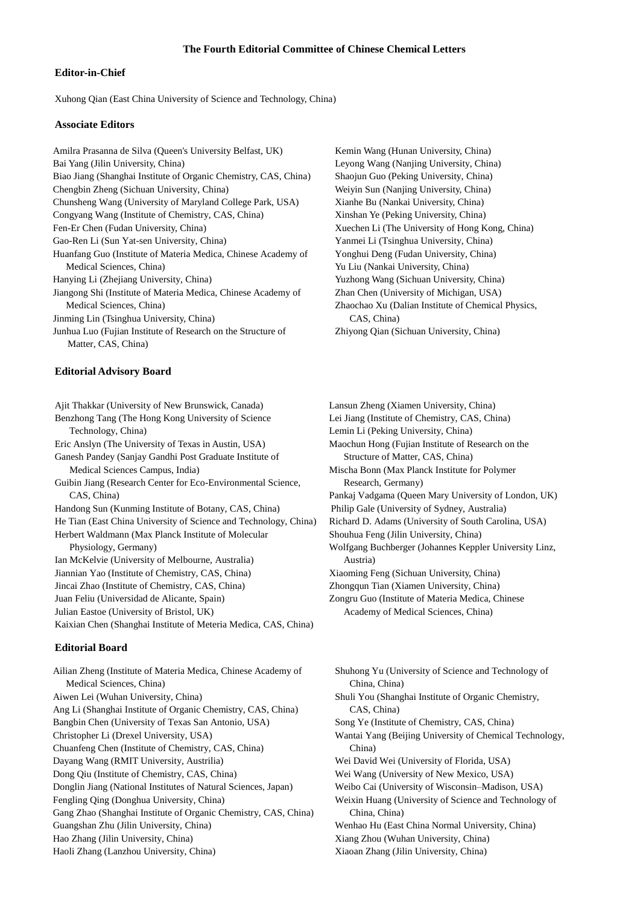## **The Fourth Editorial Committee of Chinese Chemical Letters**

## **Editor-in-Chief**

Xuhong Qian (East China University of Science and Technology, China)

### **Associate Editors**

Amilra Prasanna de Silva (Queen's University Belfast, UK) Kemin Wang (Hunan University, China) Bai Yang (Jilin University, China) Leyong Wang (Nanjing University, China) Biao Jiang (Shanghai Institute of Organic Chemistry, CAS, China) Shaojun Guo (Peking University, China) Chengbin Zheng (Sichuan University, China) Weiyin Sun (Nanjing University, China) Chunsheng Wang (University of Maryland College Park, USA) Congyang Wang (Institute of Chemistry, CAS, China) Fen-Er Chen (Fudan University, China) Xuechen Li (The University of Hong Kong, China) Gao-Ren Li (Sun Yat-sen University, China) Yanmei Li (Tsinghua University, China) Huanfang Guo (Institute of Materia Medica, Chinese Academy of Yonghui Deng (Fudan University, China) Medical Sciences, China) Yu Liu (Nankai University, China) Hanying Li (Zhejiang University, China) Yuzhong Wang (Sichuan University, China) Jiangong Shi (Institute of Materia Medica, Chinese Academy of Zhan Chen (University of Michigan, USA) Medical Sciences, China) Zhaochao Xu (Dalian Institute of Chemical Physics, Jinming Lin (Tsinghua University, China) CAS, China) Junhua Luo (Fujian Institute of Research on the Structure of Zhiyong Qian (Sichuan University, China) Matter, CAS, China)

#### **Editorial Advisory Board**

Ajit Thakkar (University of New Brunswick, Canada) Lansun Zheng (Xiamen University, China) Benzhong Tang (The Hong Kong University of Science Lei Jiang (Institute of Chemistry, CAS, China) Technology, China) Lemin Li (Peking University, China) Eric Anslyn (The University of Texas in Austin, USA) Maochun Hong (Fujian Institute of Research on the Ganesh Pandey (Sanjay Gandhi Post Graduate Institute of Structure of Matter, CAS, China) Medical Sciences Campus, India) Mischa Bonn (Max Planck Institute for Polymer Guibin Jiang (Research Center for Eco-Environmental Science, Research, Germany) CAS, China) Pankaj Vadgama (Queen Mary University of London, UK) Handong Sun (Kunming Institute of Botany, CAS, China) Philip Gale (University of Sydney, Australia) He Tian (East China University of Science and Technology, China) Richard D. Adams (University of South Carolina, USA) Herbert Waldmann (Max Planck Institute of Molecular Shouhua Feng (Jilin University, China) Physiology, Germany) Wolfgang Buchberger (Johannes Keppler University Linz, Ian McKelvie (University of Melbourne, Australia) Austria) Jiannian Yao (Institute of Chemistry, CAS, China) Xiaoming Feng (Sichuan University, China) Jincai Zhao (Institute of Chemistry, CAS, China) Zhongqun Tian (Xiamen University, China) Juan Feliu (Universidad de Alicante, Spain) Zongru Guo (Institute of Materia Medica, Chinese Julian Eastoe (University of Bristol, UK) Academy of Medical Sciences, China) Kaixian Chen (Shanghai Institute of Meteria Medica, CAS, China)

#### **Editorial Board**

Medical Sciences, China) China, China) Aiwen Lei (Wuhan University, China) Shuli You (Shanghai Institute of Organic Chemistry, Ang Li (Shanghai Institute of Organic Chemistry, CAS, China) CAS, China) Bangbin Chen (University of Texas San Antonio, USA) Song Ye (Institute of Chemistry, CAS, China) Christopher Li (Drexel University, USA) Wantai Yang (Beijing University of Chemical Technology, Chuanfeng Chen (Institute of Chemistry, CAS, China) China) Dayang Wang (RMIT University, Austrilia) Wei David Wei (University of Florida, USA) Dong Qiu (Institute of Chemistry, CAS, China) Wei Wang (University of New Mexico, USA) Donglin Jiang (National Institutes of Natural Sciences, Japan) Weibo Cai (University of Wisconsin–Madison, USA) Fengling Qing (Donghua University, China) Weixin Huang (University of Science and Technology of Gang Zhao (Shanghai Institute of Organic Chemistry, CAS, China) China, China) Guangshan Zhu (Jilin University, China) Wenhao Hu (East China Normal University, China) Hao Zhang (Jilin University, China) Xiang Zhou (Wuhan University, China) Haoli Zhang (Lanzhou University, China) Xiaoan Zhang (Jilin University, China)

Xianhe Bu (Nankai University, China) Xinshan Ye (Peking University, China)

- 
- 
- 
- 
- 
- 
- 
- 
- 

- 
- 
- 

Ailian Zheng (Institute of Materia Medica, Chinese Academy of Shuhong Yu (University of Science and Technology of